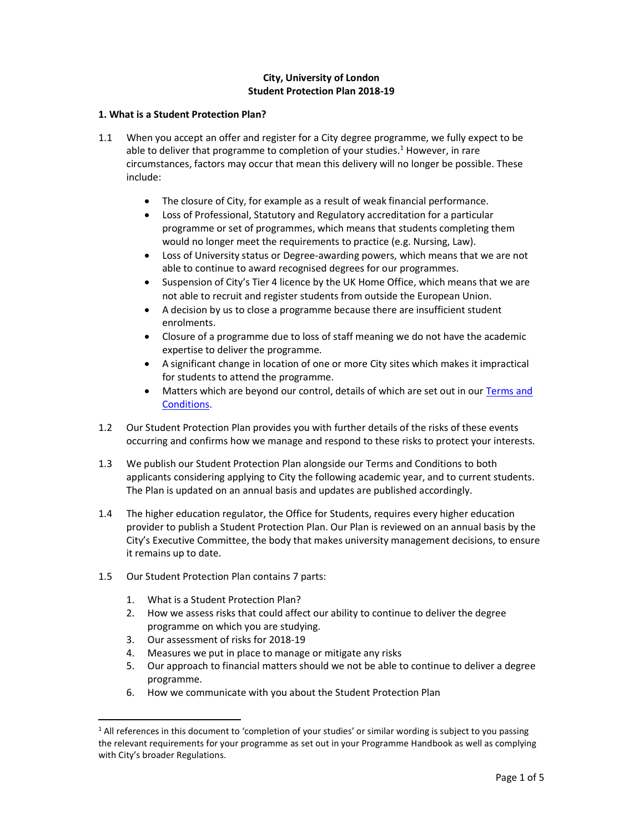# City, University of London Student Protection Plan 2018-19

## 1. What is a Student Protection Plan?

- 1.1 When you accept an offer and register for a City degree programme, we fully expect to be able to deliver that programme to completion of your studies.<sup>1</sup> However, in rare circumstances, factors may occur that mean this delivery will no longer be possible. These include:
	- The closure of City, for example as a result of weak financial performance.
	- Loss of Professional, Statutory and Regulatory accreditation for a particular programme or set of programmes, which means that students completing them would no longer meet the requirements to practice (e.g. Nursing, Law).
	- Loss of University status or Degree-awarding powers, which means that we are not able to continue to award recognised degrees for our programmes.
	- Suspension of City's Tier 4 licence by the UK Home Office, which means that we are not able to recruit and register students from outside the European Union.
	- A decision by us to close a programme because there are insufficient student enrolments.
	- Closure of a programme due to loss of staff meaning we do not have the academic expertise to deliver the programme.
	- A significant change in location of one or more City sites which makes it impractical for students to attend the programme.
	- Matters which are beyond our control, details of which are set out in our Terms and Conditions.
- 1.2 Our Student Protection Plan provides you with further details of the risks of these events occurring and confirms how we manage and respond to these risks to protect your interests.
- 1.3 We publish our Student Protection Plan alongside our Terms and Conditions to both applicants considering applying to City the following academic year, and to current students. The Plan is updated on an annual basis and updates are published accordingly.
- 1.4 The higher education regulator, the Office for Students, requires every higher education provider to publish a Student Protection Plan. Our Plan is reviewed on an annual basis by the City's Executive Committee, the body that makes university management decisions, to ensure it remains up to date.
- 1.5 Our Student Protection Plan contains 7 parts:
	- 1. What is a Student Protection Plan?
	- 2. How we assess risks that could affect our ability to continue to deliver the degree programme on which you are studying.
	- 3. Our assessment of risks for 2018-19

1

- 4. Measures we put in place to manage or mitigate any risks
- 5. Our approach to financial matters should we not be able to continue to deliver a degree programme.
- 6. How we communicate with you about the Student Protection Plan

<sup>&</sup>lt;sup>1</sup> All references in this document to 'completion of your studies' or similar wording is subject to you passing the relevant requirements for your programme as set out in your Programme Handbook as well as complying with City's broader Regulations.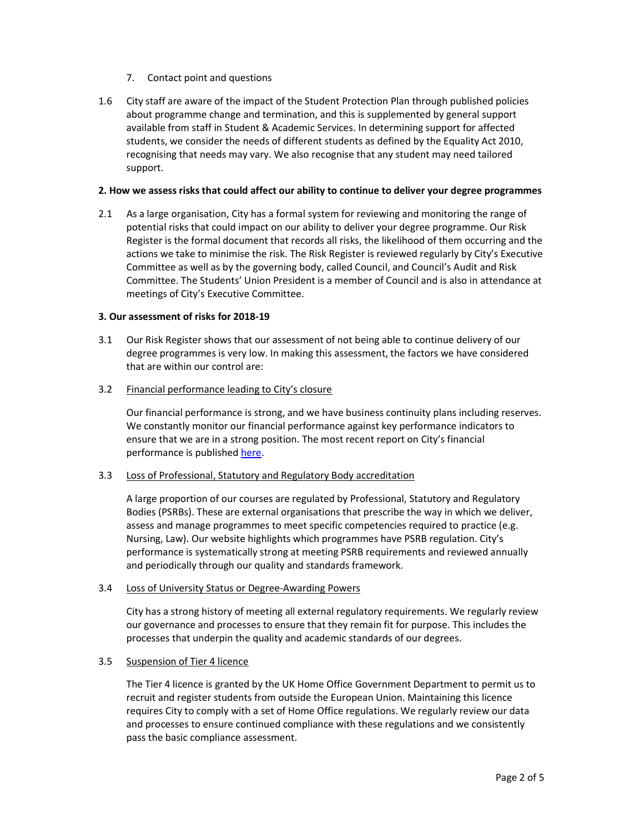- 7. Contact point and questions
- 1.6 City staff are aware of the impact of the Student Protection Plan through published policies about programme change and termination, and this is supplemented by general support available from staff in Student & Academic Services. In determining support for affected students, we consider the needs of different students as defined by the Equality Act 2010, recognising that needs may vary. We also recognise that any student may need tailored support.

### 2. How we assess risks that could affect our ability to continue to deliver your degree programmes

2.1 As a large organisation, City has a formal system for reviewing and monitoring the range of potential risks that could impact on our ability to deliver your degree programme. Our Risk Register is the formal document that records all risks, the likelihood of them occurring and the actions we take to minimise the risk. The Risk Register is reviewed regularly by City's Executive Committee as well as by the governing body, called Council, and Council's Audit and Risk Committee. The Students' Union President is a member of Council and is also in attendance at meetings of City's Executive Committee.

#### 3. Our assessment of risks for 2018-19

- 3.1 Our Risk Register shows that our assessment of not being able to continue delivery of our degree programmes is very low. In making this assessment, the factors we have considered that are within our control are:
- 3.2 Financial performance leading to City's closure

Our financial performance is strong, and we have business continuity plans including reserves. We constantly monitor our financial performance against key performance indicators to ensure that we are in a strong position. The most recent report on City's financial performance is published here.

## 3.3 Loss of Professional, Statutory and Regulatory Body accreditation

A large proportion of our courses are regulated by Professional, Statutory and Regulatory Bodies (PSRBs). These are external organisations that prescribe the way in which we deliver, assess and manage programmes to meet specific competencies required to practice (e.g. Nursing, Law). Our website highlights which programmes have PSRB regulation. City's performance is systematically strong at meeting PSRB requirements and reviewed annually and periodically through our quality and standards framework.

## 3.4 Loss of University Status or Degree-Awarding Powers

City has a strong history of meeting all external regulatory requirements. We regularly review our governance and processes to ensure that they remain fit for purpose. This includes the processes that underpin the quality and academic standards of our degrees.

### 3.5 Suspension of Tier 4 licence

The Tier 4 licence is granted by the UK Home Office Government Department to permit us to recruit and register students from outside the European Union. Maintaining this licence requires City to comply with a set of Home Office regulations. We regularly review our data and processes to ensure continued compliance with these regulations and we consistently pass the basic compliance assessment.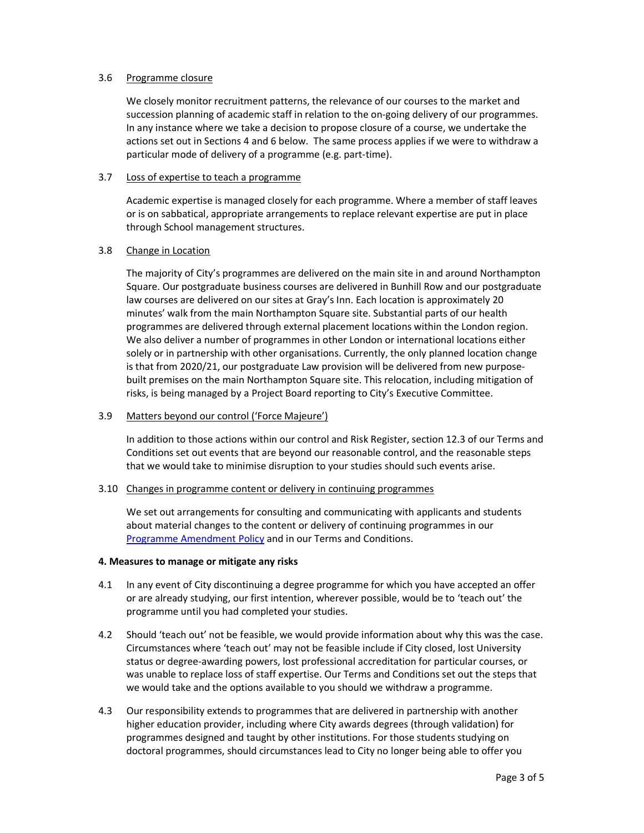## 3.6 Programme closure

We closely monitor recruitment patterns, the relevance of our courses to the market and succession planning of academic staff in relation to the on-going delivery of our programmes. In any instance where we take a decision to propose closure of a course, we undertake the actions set out in Sections 4 and 6 below. The same process applies if we were to withdraw a particular mode of delivery of a programme (e.g. part-time).

## 3.7 Loss of expertise to teach a programme

Academic expertise is managed closely for each programme. Where a member of staff leaves or is on sabbatical, appropriate arrangements to replace relevant expertise are put in place through School management structures.

# 3.8 Change in Location

The majority of City's programmes are delivered on the main site in and around Northampton Square. Our postgraduate business courses are delivered in Bunhill Row and our postgraduate law courses are delivered on our sites at Gray's Inn. Each location is approximately 20 minutes' walk from the main Northampton Square site. Substantial parts of our health programmes are delivered through external placement locations within the London region. We also deliver a number of programmes in other London or international locations either solely or in partnership with other organisations. Currently, the only planned location change is that from 2020/21, our postgraduate Law provision will be delivered from new purposebuilt premises on the main Northampton Square site. This relocation, including mitigation of risks, is being managed by a Project Board reporting to City's Executive Committee.

# 3.9 Matters beyond our control ('Force Majeure')

In addition to those actions within our control and Risk Register, section 12.3 of our Terms and Conditions set out events that are beyond our reasonable control, and the reasonable steps that we would take to minimise disruption to your studies should such events arise.

## 3.10 Changes in programme content or delivery in continuing programmes

We set out arrangements for consulting and communicating with applicants and students about material changes to the content or delivery of continuing programmes in our Programme Amendment Policy and in our Terms and Conditions.

## 4. Measures to manage or mitigate any risks

- 4.1 In any event of City discontinuing a degree programme for which you have accepted an offer or are already studying, our first intention, wherever possible, would be to 'teach out' the programme until you had completed your studies.
- 4.2 Should 'teach out' not be feasible, we would provide information about why this was the case. Circumstances where 'teach out' may not be feasible include if City closed, lost University status or degree-awarding powers, lost professional accreditation for particular courses, or was unable to replace loss of staff expertise. Our Terms and Conditions set out the steps that we would take and the options available to you should we withdraw a programme.
- 4.3 Our responsibility extends to programmes that are delivered in partnership with another higher education provider, including where City awards degrees (through validation) for programmes designed and taught by other institutions. For those students studying on doctoral programmes, should circumstances lead to City no longer being able to offer you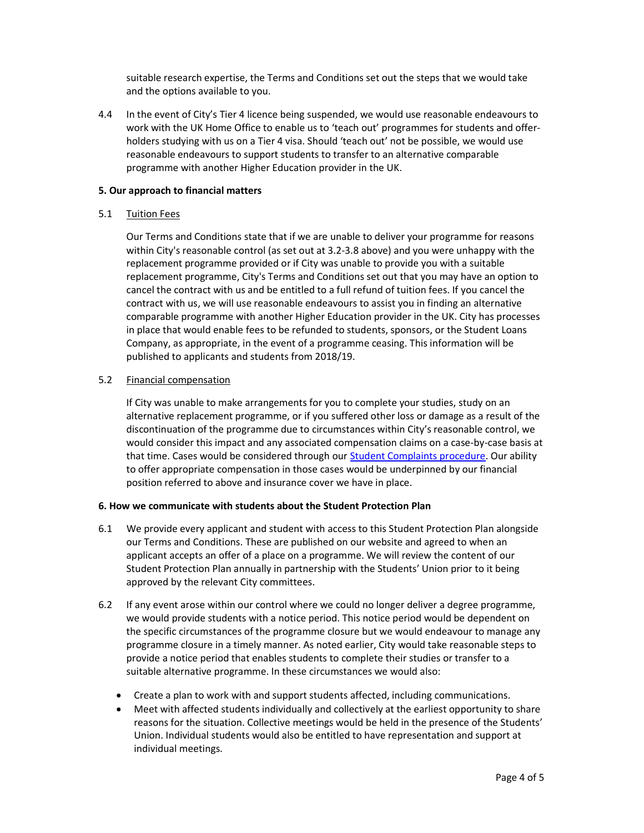suitable research expertise, the Terms and Conditions set out the steps that we would take and the options available to you.

4.4 In the event of City's Tier 4 licence being suspended, we would use reasonable endeavours to work with the UK Home Office to enable us to 'teach out' programmes for students and offerholders studying with us on a Tier 4 visa. Should 'teach out' not be possible, we would use reasonable endeavours to support students to transfer to an alternative comparable programme with another Higher Education provider in the UK.

## 5. Our approach to financial matters

## 5.1 Tuition Fees

Our Terms and Conditions state that if we are unable to deliver your programme for reasons within City's reasonable control (as set out at 3.2-3.8 above) and you were unhappy with the replacement programme provided or if City was unable to provide you with a suitable replacement programme, City's Terms and Conditions set out that you may have an option to cancel the contract with us and be entitled to a full refund of tuition fees. If you cancel the contract with us, we will use reasonable endeavours to assist you in finding an alternative comparable programme with another Higher Education provider in the UK. City has processes in place that would enable fees to be refunded to students, sponsors, or the Student Loans Company, as appropriate, in the event of a programme ceasing. This information will be published to applicants and students from 2018/19.

#### 5.2 Financial compensation

If City was unable to make arrangements for you to complete your studies, study on an alternative replacement programme, or if you suffered other loss or damage as a result of the discontinuation of the programme due to circumstances within City's reasonable control, we would consider this impact and any associated compensation claims on a case-by-case basis at that time. Cases would be considered through our Student Complaints procedure. Our ability to offer appropriate compensation in those cases would be underpinned by our financial position referred to above and insurance cover we have in place.

## 6. How we communicate with students about the Student Protection Plan

- 6.1 We provide every applicant and student with access to this Student Protection Plan alongside our Terms and Conditions. These are published on our website and agreed to when an applicant accepts an offer of a place on a programme. We will review the content of our Student Protection Plan annually in partnership with the Students' Union prior to it being approved by the relevant City committees.
- 6.2 If any event arose within our control where we could no longer deliver a degree programme, we would provide students with a notice period. This notice period would be dependent on the specific circumstances of the programme closure but we would endeavour to manage any programme closure in a timely manner. As noted earlier, City would take reasonable steps to provide a notice period that enables students to complete their studies or transfer to a suitable alternative programme. In these circumstances we would also:
	- Create a plan to work with and support students affected, including communications.
	- Meet with affected students individually and collectively at the earliest opportunity to share reasons for the situation. Collective meetings would be held in the presence of the Students' Union. Individual students would also be entitled to have representation and support at individual meetings.